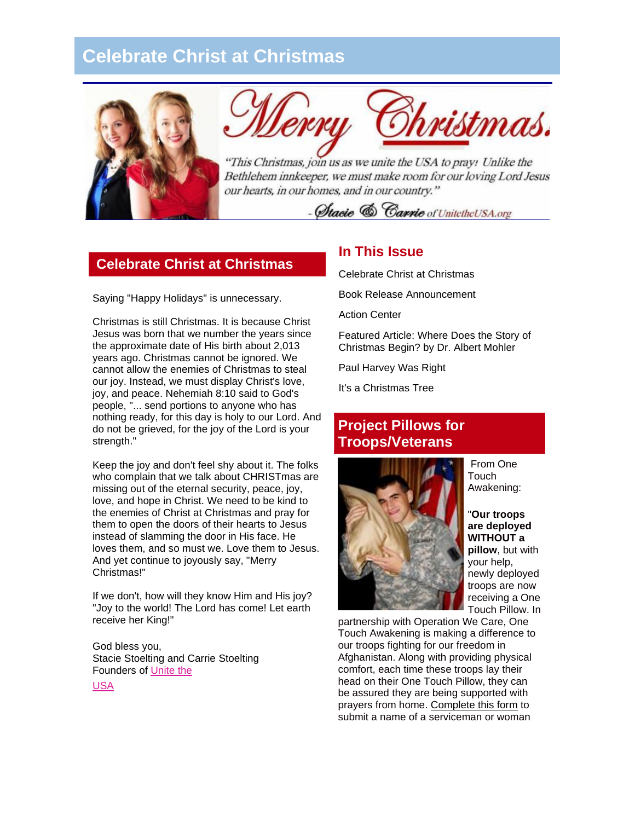# **Celebrate Christ at Christmas**





"This Christmas, join us as we unite the USA to pray! Unlike the Bethlehem innkeeper, we must make room for our loving Lord Jesus our hearts, in our homes, and in our country."

- Stacie & Carrie of UnitetheUSA.org

#### **Celebrate Christ at Christmas**

Saying "Happy Holidays" is unnecessary.

Christmas is still Christmas. It is because Christ Jesus was born that we number the years since the approximate date of His birth about 2,013 years ago. Christmas cannot be ignored. We cannot allow the enemies of Christmas to steal our joy. Instead, we must display Christ's love, joy, and peace. Nehemiah 8:10 said to God's people, "... send portions to anyone who has nothing ready, for this day is holy to our Lord. And do not be grieved, for the joy of the Lord is your strength."

Keep the joy and don't feel shy about it. The folks who complain that we talk about CHRISTmas are missing out of the eternal security, peace, joy, love, and hope in Christ. We need to be kind to the enemies of Christ at Christmas and pray for them to open the doors of their hearts to Jesus instead of slamming the door in His face. He loves them, and so must we. Love them to Jesus. And yet continue to joyously say, "Merry Christmas!"

If we don't, how will they know Him and His joy? "Joy to the world! The Lord has come! Let earth receive her King!"

God bless you, Stacie Stoelting and Carrie Stoelting Founders of [Unite the](http://unitetheusa.org/index.html) 

[USA](http://unitetheusa.org/index.html)

### **In This Issue**

Celebrate Christ at Christmas

Book Release Announcement

Action Center

Featured Article: Where Does the Story of Christmas Begin? by Dr. Albert Mohler

Paul Harvey Was Right

It's a Christmas Tree

## **Project Pillows for Troops/Veterans**



From One **Touch** Awakening:

#### "**Our troops are deployed WITHOUT a pillow**, but with your help, newly deployed troops are now receiving a One Touch Pillow. In

partnership with Operation We Care, One Touch Awakening is making a difference to our troops fighting for our freedom in Afghanistan. Along with providing physical comfort, each time these troops lay their head on their One Touch Pillow, they can be assured they are being supported with prayers from home. [Complete this form](http://www.youtube.com/watch?v=AJpSmePSi3c) to submit a name of a serviceman or woman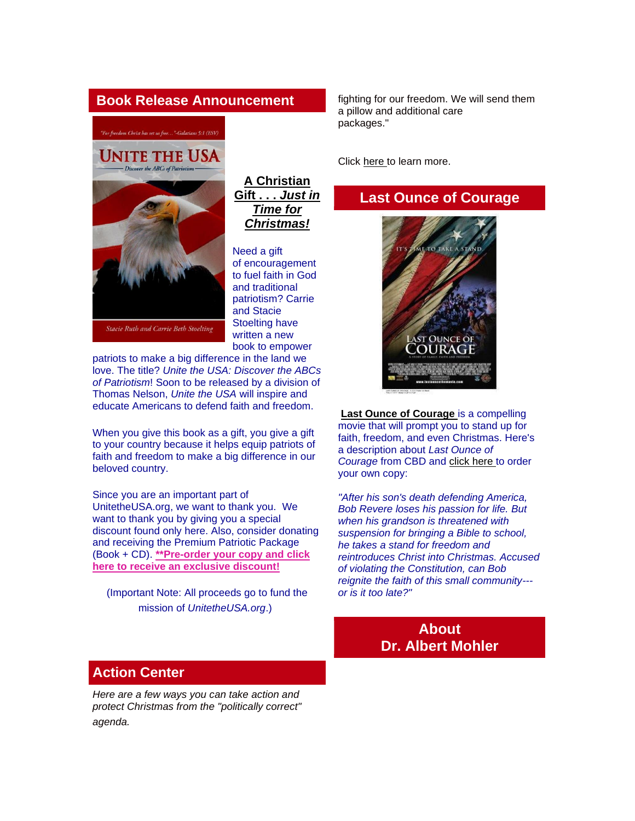#### **Book Release Announcement**

fighting for our freedom. We will send them a pillow and additional care packages."

lom Christ has set us free..."-Galatians 5:1 (ESV)

# UNITE THE USA



**[A Christian](http://unitetheusa.org/id56.html)  Gift . . .** *[Just in](http://unitetheusa.org/id56.html)  [Time for](http://unitetheusa.org/id56.html)  [Christmas!](http://unitetheusa.org/id56.html)*

Need a gift of encouragement to fuel faith in God and traditional patriotism? Carrie and Stacie Stoelting have written a new book to empower

Stacie Ruth and Carrie Beth Stoelting

patriots to make a big difference in the land we love. The title? *Unite the USA: Discover the ABCs of Patriotism*! Soon to be released by a division of Thomas Nelson, *Unite the USA* will inspire and educate Americans to defend faith and freedom.

When you give this book as a gift, you give a gift to your country because it helps equip patriots of faith and freedom to make a big difference in our beloved country.

Since you are an important part of UnitetheUSA.org, we want to thank you. We want to thank you by giving you a special discount found only here. Also, consider donating and receiving the Premium Patriotic Package (Book + CD). **[\\*\\*Pre-order your copy and click](http://unitetheusa.org/id56.html)  [here to receive an exclusive discount!](http://unitetheusa.org/id56.html)**

(Important Note: All proceeds go to fund the mission of *UnitetheUSA.org*.)

Click [here](http://www.youtube.com/watch?v=AJpSmePSi3c) to learn more.

## **Last Ounce of Courage**



**[Last Ounce of Courage](http://www.youtube.com/watch?v=AJpSmePSi3c)** is a compelling movie that will prompt you to stand up for faith, freedom, and even Christmas. Here's a description about *Last Ounce of Courage* from CBD and [click here](http://www.youtube.com/watch?v=AJpSmePSi3c) to order your own copy:

*"After his son's death defending America, Bob Revere loses his passion for life. But when his grandson is threatened with suspension for bringing a Bible to school, he takes a stand for freedom and reintroduces Christ into Christmas. Accused of violating the Constitution, can Bob reignite the faith of this small community-- or is it too late?"*

## **About Dr. Albert Mohler**

#### **Action Center**

*Here are a few ways you can take action and protect Christmas from the "politically correct" agenda.*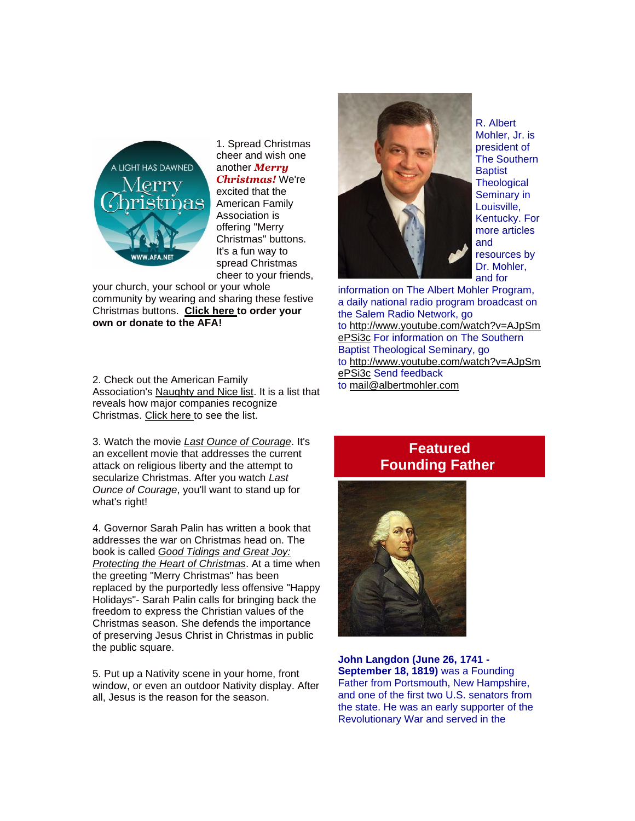

1. Spread Christmas cheer and wish one another *Merry Christmas!* We're excited that the American Family Association is offering "Merry Christmas" buttons. It's a fun way to spread Christmas cheer to your friends,

your church, your school or your whole community by wearing and sharing these festive Christmas buttons. **[Click here](http://afastore.afa.net/p/856/christmas-buttons) to order your own or donate to the AFA!**

2. Check out the American Family Association's [Naughty and Nice list.](http://www.afa.net/detail.aspx?id=2147486887) It is a list that reveals how major companies recognize Christmas. [Click here](http://www.afa.net/detail.aspx?id=2147486887) to see the list.

3. Watch the movie *[Last Ounce of Courage](http://www.christianbook.com/last-ounce-of-courage-dvd/pd/388213?item_code=WW&netp_id=1041412&event=ESRCG&view=details)*. It's an excellent movie that addresses the current attack on religious liberty and the attempt to secularize Christmas. After you watch *Last Ounce of Courage*, you'll want to stand up for what's right!

4. Governor Sarah Palin has written a book that addresses the war on Christmas head on. The book is called *[Good Tidings and Great Joy:](http://www.christianbook.com/good-tidings-great-protecting-heart-christmas/sarah-palin/9780062292889/pd/292889?product_redirect=1&Ntt=292889&item_code=&Ntk=keywords&event=ESRCP)  [Protecting the Heart of Christmas](http://www.christianbook.com/good-tidings-great-protecting-heart-christmas/sarah-palin/9780062292889/pd/292889?product_redirect=1&Ntt=292889&item_code=&Ntk=keywords&event=ESRCP)*. At a time when the greeting "Merry Christmas" has been replaced by the purportedly less offensive "Happy Holidays"- Sarah Palin calls for bringing back the freedom to express the Christian values of the Christmas season. She defends the importance of preserving Jesus Christ in Christmas in public the public square.

5. Put up a Nativity scene in your home, front window, or even an outdoor Nativity display. After all, Jesus is the reason for the season.



R. Albert Mohler, Jr. is president of The Southern **Baptist Theological** Seminary in Louisville, Kentucky. For more articles and resources by Dr. Mohler, and for

information on The Albert Mohler Program, a daily national radio program broadcast on the Salem Radio Network, go to [http://www.youtube.com/watch?v=AJpSm](http://www.youtube.com/watch?v=AJpSmePSi3c) [ePSi3c](http://www.youtube.com/watch?v=AJpSmePSi3c) For information on The Southern Baptist Theological Seminary, go to [http://www.youtube.com/watch?v=AJpSm](http://www.youtube.com/watch?v=AJpSmePSi3c) [ePSi3c](http://www.youtube.com/watch?v=AJpSmePSi3c) Send feedback to [mail@albertmohler.com](http://www.youtube.com/watch?v=AJpSmePSi3c) 

## **Featured Founding Father**



**John Langdon (June 26, 1741 - September 18, 1819)** was a Founding Father from Portsmouth, New Hampshire, and one of the first two U.S. senators from the state. He was an early supporter of the Revolutionary War and served in the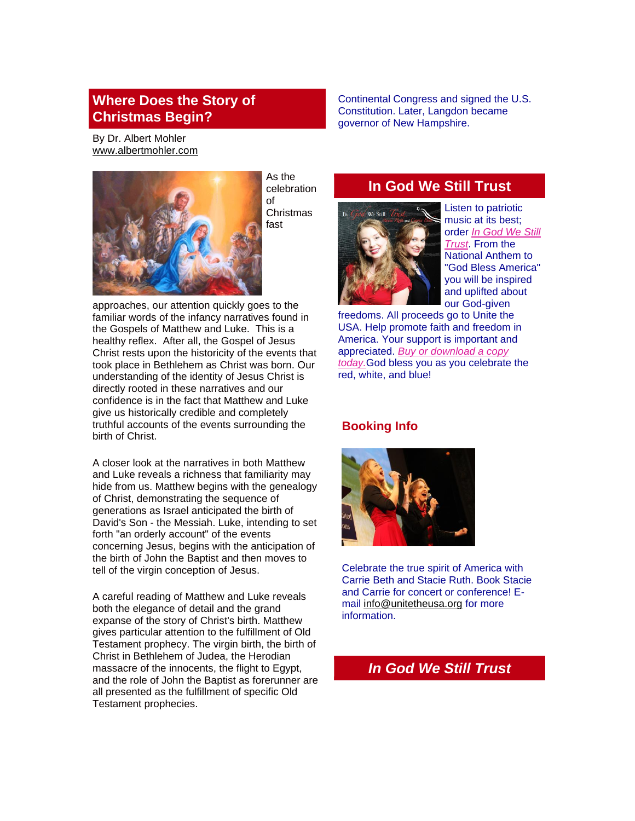### **Where Does the Story of Christmas Begin?**

Continental Congress and signed the U.S. Constitution. Later, Langdon became governor of New Hampshire.

By Dr. Albert Mohler [www.albertmohler.com](http://www.albertmohler.com/)



As the celebration of Christmas fast

approaches, our attention quickly goes to the familiar words of the infancy narratives found in the Gospels of Matthew and Luke. This is a healthy reflex. After all, the Gospel of Jesus Christ rests upon the historicity of the events that took place in Bethlehem as Christ was born. Our understanding of the identity of Jesus Christ is directly rooted in these narratives and our confidence is in the fact that Matthew and Luke give us historically credible and completely truthful accounts of the events surrounding the birth of Christ.

A closer look at the narratives in both Matthew and Luke reveals a richness that familiarity may hide from us. Matthew begins with the genealogy of Christ, demonstrating the sequence of generations as Israel anticipated the birth of David's Son - the Messiah. Luke, intending to set forth "an orderly account" of the events concerning Jesus, begins with the anticipation of the birth of John the Baptist and then moves to tell of the virgin conception of Jesus.

A careful reading of Matthew and Luke reveals both the elegance of detail and the grand expanse of the story of Christ's birth. Matthew gives particular attention to the fulfillment of Old Testament prophecy. The virgin birth, the birth of Christ in Bethlehem of Judea, the Herodian massacre of the innocents, the flight to Egypt, and the role of John the Baptist as forerunner are all presented as the fulfillment of specific Old Testament prophecies.

## **In God We Still Trust**



Listen to patriotic music at its best; order *[In God We Still](http://www.youtube.com/watch?v=AJpSmePSi3c) [Trust](http://www.youtube.com/watch?v=AJpSmePSi3c)*. From the National Anthem to "God Bless America" you will be inspired and uplifted about our God-given

freedoms. All proceeds go to Unite the USA. Help promote faith and freedom in America. Your support is important and appreciated. *[Buy or download a copy](http://www.youtube.com/watch?v=AJpSmePSi3c)  [today.](http://www.youtube.com/watch?v=AJpSmePSi3c)*God bless you as you celebrate the red, white, and blue!

#### **Booking Info**



Celebrate the true spirit of America with Carrie Beth and Stacie Ruth. Book Stacie and Carrie for concert or conference! Email [info@unitetheusa.org](http://www.youtube.com/watch?v=AJpSmePSi3c) for more information.

## *In God We Still Trust*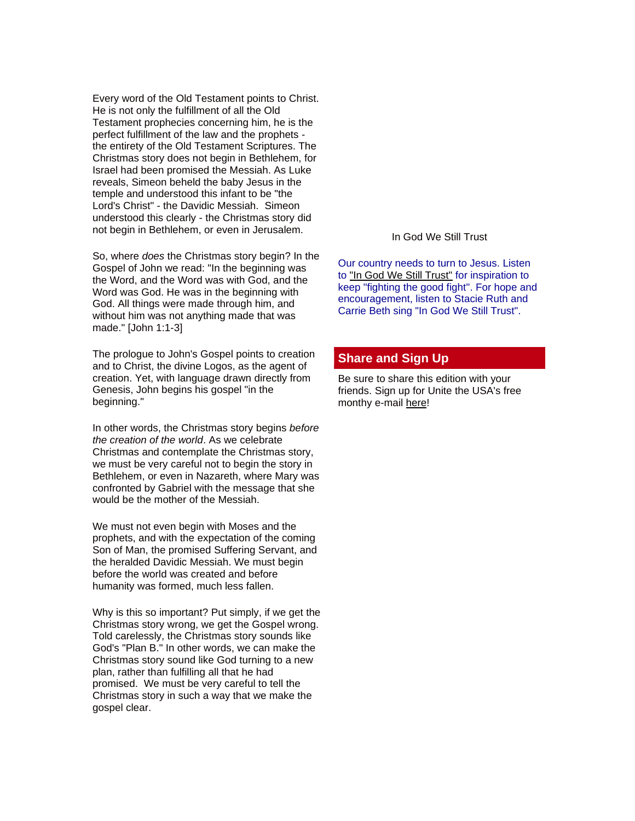Every word of the Old Testament points to Christ. He is not only the fulfillment of all the Old Testament prophecies concerning him, he is the perfect fulfillment of the law and the prophets the entirety of the Old Testament Scriptures. The Christmas story does not begin in Bethlehem, for Israel had been promised the Messiah. As Luke reveals, Simeon beheld the baby Jesus in the temple and understood this infant to be "the Lord's Christ" - the Davidic Messiah. Simeon understood this clearly - the Christmas story did not begin in Bethlehem, or even in Jerusalem.

So, where *does* the Christmas story begin? In the Gospel of John we read: "In the beginning was the Word, and the Word was with God, and the Word was God. He was in the beginning with God. All things were made through him, and without him was not anything made that was made." [John 1:1-3]

The prologue to John's Gospel points to creation and to Christ, the divine Logos, as the agent of creation. Yet, with language drawn directly from Genesis, John begins his gospel "in the beginning."

In other words, the Christmas story begins *before the creation of the world*. As we celebrate Christmas and contemplate the Christmas story, we must be very careful not to begin the story in Bethlehem, or even in Nazareth, where Mary was confronted by Gabriel with the message that she would be the mother of the Messiah.

We must not even begin with Moses and the prophets, and with the expectation of the coming Son of Man, the promised Suffering Servant, and the heralded Davidic Messiah. We must begin before the world was created and before humanity was formed, much less fallen.

Why is this so important? Put simply, if we get the Christmas story wrong, we get the Gospel wrong. Told carelessly, the Christmas story sounds like God's "Plan B." In other words, we can make the Christmas story sound like God turning to a new plan, rather than fulfilling all that he had promised. We must be very careful to tell the Christmas story in such a way that we make the gospel clear.

#### In God We Still Trust

Our country needs to turn to Jesus. Listen to ["In God We Still Trust"](http://www.youtube.com/watch?v=AJpSmePSi3c) for inspiration to keep "fighting the good fight". For hope and encouragement, listen to Stacie Ruth and Carrie Beth sing "In God We Still Trust".

#### **Share and Sign Up**

Be sure to share this edition with your friends. Sign up for Unite the USA's free monthy e-mail [here!](http://unitetheusa.org/id2.html)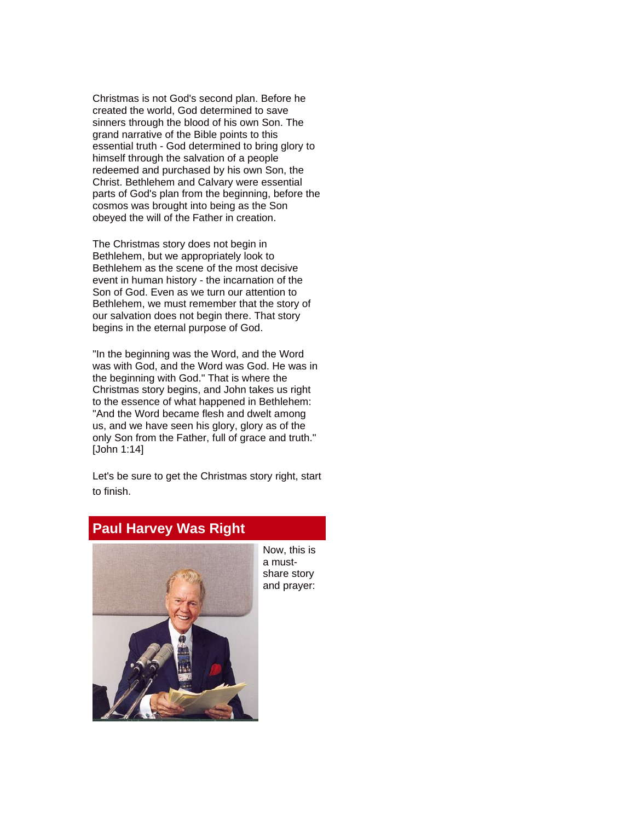Christmas is not God's second plan. Before he created the world, God determined to save sinners through the blood of his own Son. The grand narrative of the Bible points to this essential truth - God determined to bring glory to himself through the salvation of a people redeemed and purchased by his own Son, the Christ. Bethlehem and Calvary were essential parts of God's plan from the beginning, before the cosmos was brought into being as the Son obeyed the will of the Father in creation.

The Christmas story does not begin in Bethlehem, but we appropriately look to Bethlehem as the scene of the most decisive event in human history - the incarnation of the Son of God. Even as we turn our attention to Bethlehem, we must remember that the story of our salvation does not begin there. That story begins in the eternal purpose of God.

"In the beginning was the Word, and the Word was with God, and the Word was God. He was in the beginning with God." That is where the Christmas story begins, and John takes us right to the essence of what happened in Bethlehem: "And the Word became flesh and dwelt among us, and we have seen his glory, glory as of the only Son from the Father, full of grace and truth." [John 1:14]

Let's be sure to get the Christmas story right, start to finish.

## **Paul Harvey Was Right**



Now, this is a mustshare story and prayer: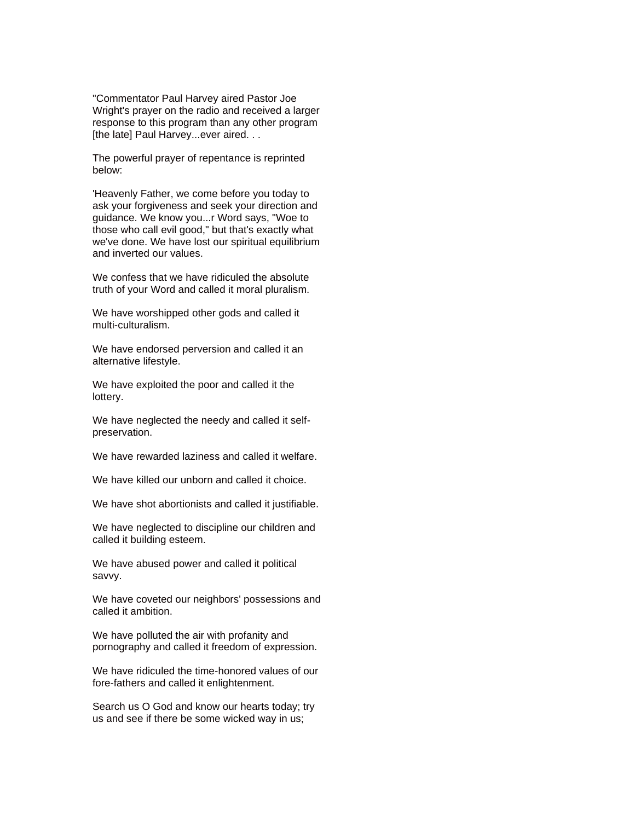"Commentator Paul Harvey aired Pastor Joe Wright's prayer on the radio and received a larger response to this program than any other program [the late] Paul Harvey...ever aired. . .

The powerful prayer of repentance is reprinted below:

'Heavenly Father, we come before you today to ask your forgiveness and seek your direction and guidance. We know you...r Word says, "Woe to those who call evil good," but that's exactly what we've done. We have lost our spiritual equilibrium and inverted our values.

We confess that we have ridiculed the absolute truth of your Word and called it moral pluralism.

We have worshipped other gods and called it multi-culturalism.

We have endorsed perversion and called it an alternative lifestyle.

We have exploited the poor and called it the lottery.

We have neglected the needy and called it selfpreservation.

We have rewarded laziness and called it welfare.

We have killed our unborn and called it choice.

We have shot abortionists and called it justifiable.

We have neglected to discipline our children and called it building esteem.

We have abused power and called it political savvy.

We have coveted our neighbors' possessions and called it ambition.

We have polluted the air with profanity and pornography and called it freedom of expression.

We have ridiculed the time-honored values of our fore-fathers and called it enlightenment.

Search us O God and know our hearts today; try us and see if there be some wicked way in us;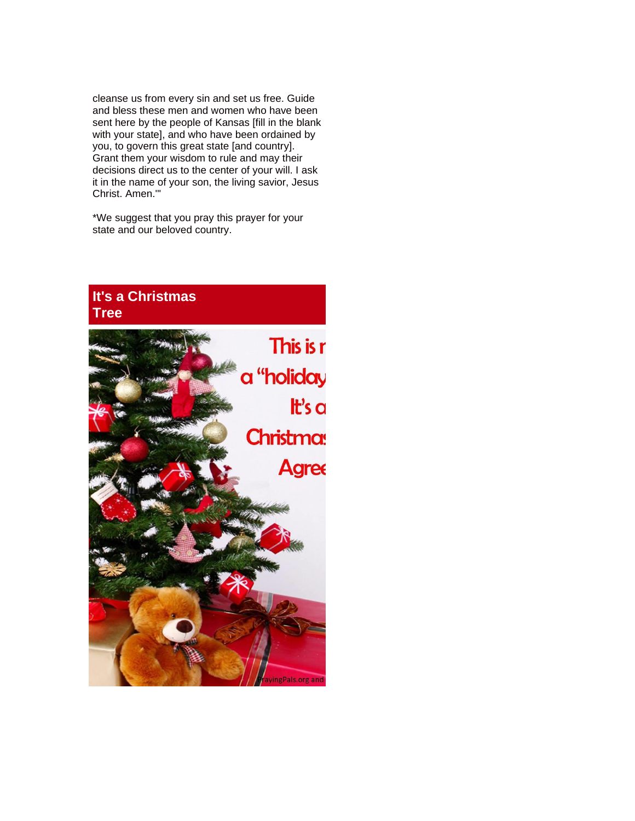cleanse us from every sin and set us free. Guide and bless these men and women who have been sent here by the people of Kansas [fill in the blank with your state], and who have been ordained by you, to govern this great state [and country]. Grant them your wisdom to rule and may their decisions direct us to the center of your will. I ask it in the name of your son, the living savior, Jesus Christ. Amen.'"

\*We suggest that you pray this prayer for your state and our beloved country.